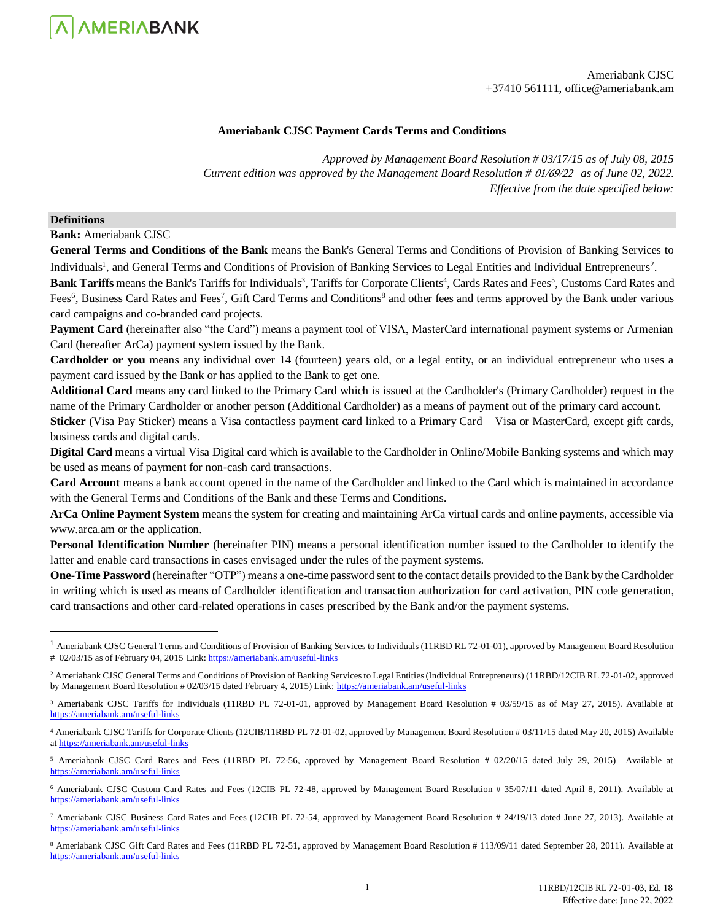

<span id="page-0-0"></span>Ameriabank CJSC +37410 561111, office@ameriabank.am

#### **Ameriabank CJSC Payment Cards Terms and Conditions**

*Approved by Management Board Resolution # 03/17/15 as of July 08, 2015 Current edition was approved by the Management Board Resolution #* 01/69/22 *as of June 02, 2022. Effective from the date specified below:*

#### **Definitions**

 $\overline{a}$ 

**Bank:** Ameriabank CJSC

**General Terms and Conditions of the Bank** means the Bank's General Terms and Conditions of Provision of Banking Services to Individuals<sup>1</sup>, and General Terms and Conditions of Provision of Banking Services to Legal Entities and Individual Entrepreneurs<sup>2</sup>.

Bank Tariffs means the Bank's Tariffs for Individuals<sup>3</sup>, Tariffs for Corporate Clients<sup>4</sup>, Cards Rates and Fees<sup>5</sup>, Customs Card Rates and Fees<sup>6</sup>, Business Card Rates and Fees<sup>7</sup>, Gift Card Terms and Conditions<sup>8</sup> and other fees and terms approved by the Bank under various card campaigns and co-branded card projects.

**Payment Card** (hereinafter also "the Card") means a payment tool of VISA, MasterCard international payment systems or Armenian Card (hereafter ArCa) payment system issued by the Bank.

**Cardholder or you** means any individual over 14 (fourteen) years old, or a legal entity, or an individual entrepreneur who uses a payment card issued by the Bank or has applied to the Bank to get one.

**Additional Card** means any card linked to the Primary Card which is issued at the Cardholder's (Primary Cardholder) request in the name of the Primary Cardholder or another person (Additional Cardholder) as a means of payment out of the primary card account. **Sticker** (Visa Pay Sticker) means a Visa contactless payment card linked to a Primary Card – Visa or MasterCard, except gift cards,

business cards and digital cards.

**Digital Card** means a virtual Visa Digital card which is available to the Cardholder in Online/Mobile Banking systems and which may be used as means of payment for non-cash card transactions.

**Card Account** means a bank account opened in the name of the Cardholder and linked to the Card which is maintained in accordance with the General Terms and Conditions of the Bank and these Terms and Conditions.

**ArCa Online Payment System** means the system for creating and maintaining ArCa virtual cards and online payments, accessible via www.arca.am or the application.

**Personal Identification Number** (hereinafter PIN) means a personal identification number issued to the Cardholder to identify the latter and enable card transactions in cases envisaged under the rules of the payment systems.

**One-Time Password** (hereinafter "OTP") means a one-time password sent to the contact details provided to the Bank by the Cardholder in writing which is used as means of Cardholder identification and transaction authorization for card activation, PIN code generation, card transactions and other card-related operations in cases prescribed by the Bank and/or the payment systems.

<sup>&</sup>lt;sup>1</sup> Ameriabank CJSC General Terms and Conditions of Provision of Banking Services to Individuals (11RBD RL 72-01-01), approved by Management Board Resolution # 02/03/15 as of February 04, 2015 Link[: https://ameriabank.am/useful-links](https://ameriabank.am/useful-links)

<sup>2</sup> Ameriabank CJSC General Terms and Conditions of Provision of Banking Services to Legal Entities (Individual Entrepreneurs) (11RBD/12CIB RL 72-01-02, approved by Management Board Resolution # 02/03/15 dated February 4, 2015) Link:<https://ameriabank.am/useful-links>

<sup>&</sup>lt;sup>3</sup> Ameriabank CJSC Tariffs for Individuals (11RBD PL 72-01-01, approved by Management Board Resolution # 03/59/15 as of May 27, 2015). Available at <https://ameriabank.am/useful-links>

<sup>4</sup> Ameriabank CJSC Tariffs for Corporate Clients (12CIB/11RBD PL 72-01-02, approved by Management Board Resolution # 03/11/15 dated May 20, 2015) Available a[t https://ameriabank.am/useful-links](https://ameriabank.am/useful-links)

<sup>5</sup> Ameriabank CJSC Card Rates and Fees (11RBD PL 72-56, approved by Management Board Resolution # 02/20/15 dated July 29, 2015) Available at <https://ameriabank.am/useful-links>

 $6$  Ameriabank CJSC Custom Card Rates and Fees (12CIB PL 72-48, approved by Management Board Resolution # 35/07/11 dated April 8, 2011). Available at <https://ameriabank.am/useful-links>

<sup>7</sup> Ameriabank CJSC Business Card Rates and Fees (12CIB PL 72-54, approved by Management Board Resolution # 24/19/13 dated June 27, 2013). Available at <https://ameriabank.am/useful-links>

<sup>&</sup>lt;sup>8</sup> Ameriabank CJSC Gift Card Rates and Fees (11RBD PL 72-51, approved by Management Board Resolution # 113/09/11 dated September 28, 2011). Available at <https://ameriabank.am/useful-links>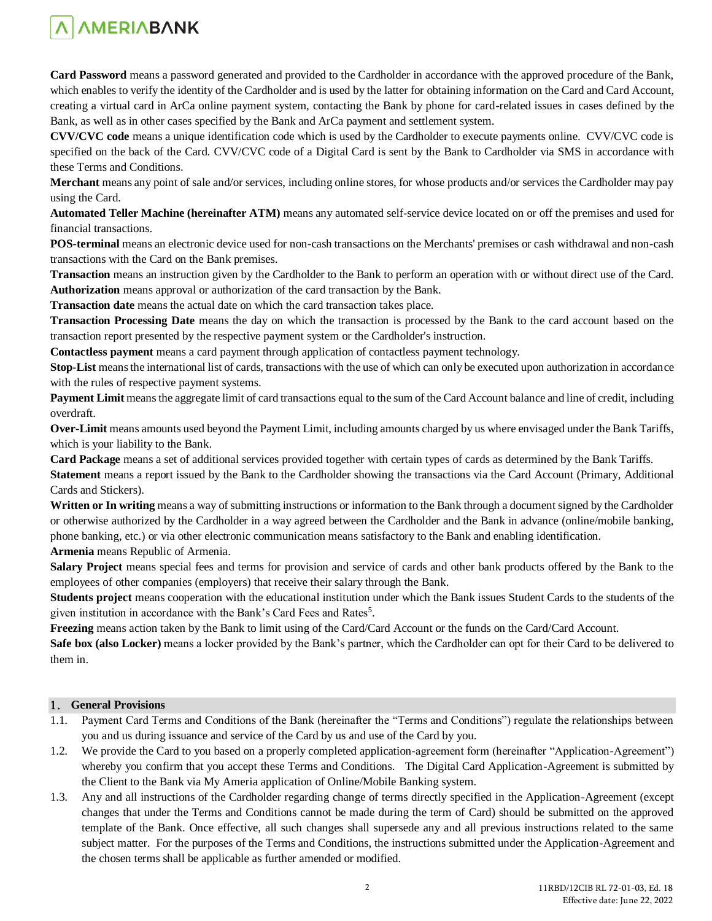**Card Password** means a password generated and provided to the Cardholder in accordance with the approved procedure of the Bank, which enables to verify the identity of the Cardholder and is used by the latter for obtaining information on the Card and Card Account, creating a virtual card in ArCa online payment system, contacting the Bank by phone for card-related issues in cases defined by the Bank, as well as in other cases specified by the Bank and ArCa payment and settlement system.

**CVV/CVC code** means a unique identification code which is used by the Cardholder to execute payments online. CVV/CVC code is specified on the back of the Card. CVV/CVC code of a Digital Card is sent by the Bank to Cardholder via SMS in accordance with these Terms and Conditions.

**Merchant** means any point of sale and/or services, including online stores, for whose products and/or services the Cardholder may pay using the Card.

**Automated Teller Machine (hereinafter ATM)** means any automated self-service device located on or off the premises and used for financial transactions.

**POS-terminal** means an electronic device used for non-cash transactions on the Merchants' premises or cash withdrawal and non-cash transactions with the Card on the Bank premises.

**Transaction** means an instruction given by the Cardholder to the Bank to perform an operation with or without direct use of the Card. **Authorization** means approval or authorization of the card transaction by the Bank.

**Transaction date** means the actual date on which the card transaction takes place.

**Transaction Processing Date** means the day on which the transaction is processed by the Bank to the card account based on the transaction report presented by the respective payment system or the Cardholder's instruction.

**Contactless payment** means a card payment through application of contactless payment technology.

**Stop-List** means the international list of cards, transactions with the use of which can only be executed upon authorization in accordance with the rules of respective payment systems.

**Payment Limit** means the aggregate limit of card transactions equal to the sum of the Card Account balance and line of credit, including overdraft.

**Over-Limit** means amounts used beyond the Payment Limit, including amounts charged by us where envisaged under the Bank Tariffs, which is your liability to the Bank.

**Card Package** means a set of additional services provided together with certain types of cards as determined by the Bank Tariffs.

**Statement** means a report issued by the Bank to the Cardholder showing the transactions via the Card Account (Primary, Additional Cards and Stickers).

**Written or In writing** means a way of submitting instructions or information to the Bank through a document signed by the Cardholder or otherwise authorized by the Cardholder in a way agreed between the Cardholder and the Bank in advance (online/mobile banking, phone banking, etc.) or via other electronic communication means satisfactory to the Bank and enabling identification.

**Armenia** means Republic of Armenia.

**Salary Project** means special fees and terms for provision and service of cards and other bank products offered by the Bank to the employees of other companies (employers) that receive their salary through the Bank.

**Students project** means cooperation with the educational institution under which the Bank issues Student Cards to the students of the given in[s](#page-0-0)titution in accordance with the Bank's Card Fees and Rates<sup>5</sup>.

**Freezing** means action taken by the Bank to limit using of the Card/Card Account or the funds on the Card/Card Account.

**Safe box (also Locker)** means a locker provided by the Bank's partner, which the Cardholder can opt for their Card to be delivered to them in.

#### 1. **General Provisions**

- 1.1. Payment Card Terms and Conditions of the Bank (hereinafter the "Terms and Conditions") regulate the relationships between you and us during issuance and service of the Card by us and use of the Card by you.
- 1.2. We provide the Card to you based on a properly completed application-agreement form (hereinafter "Application-Agreement") whereby you confirm that you accept these Terms and Conditions. The Digital Card Application-Agreement is submitted by the Client to the Bank via My Ameria application of Online/Mobile Banking system.
- 1.3. Any and all instructions of the Cardholder regarding change of terms directly specified in the Application-Agreement (except changes that under the Terms and Conditions cannot be made during the term of Card) should be submitted on the approved template of the Bank. Once effective, all such changes shall supersede any and all previous instructions related to the same subject matter. For the purposes of the Terms and Conditions, the instructions submitted under the Application-Agreement and the chosen terms shall be applicable as further amended or modified.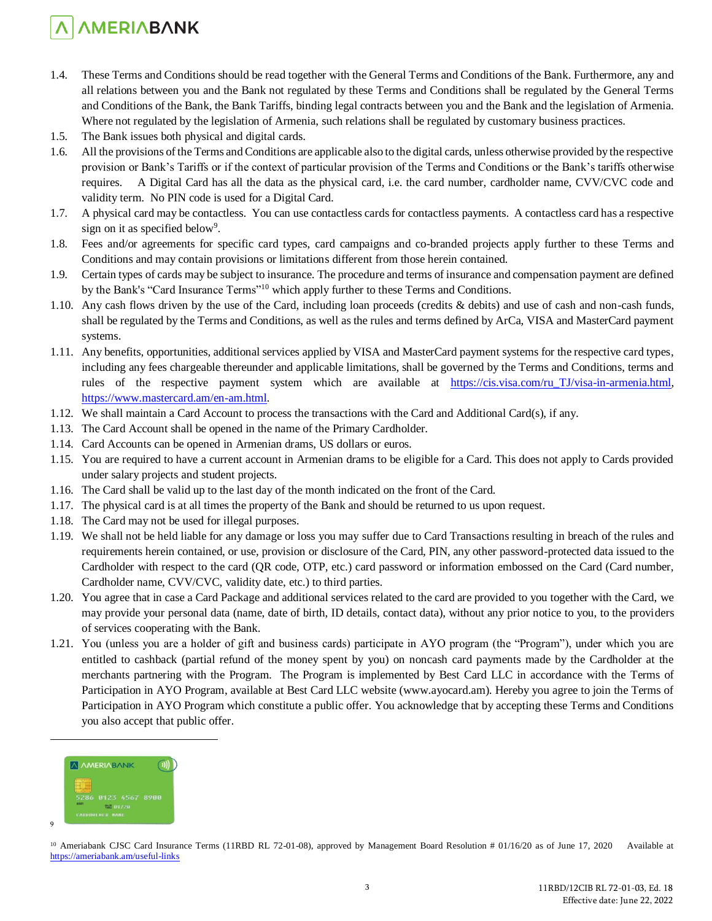- 1.4. These Terms and Conditions should be read together with the General Terms and Conditions of the Bank. Furthermore, any and all relations between you and the Bank not regulated by these Terms and Conditions shall be regulated by the General Terms and Conditions of the Bank, the Bank Tariffs, binding legal contracts between you and the Bank and the legislation of Armenia. Where not regulated by the legislation of Armenia, such relations shall be regulated by customary business practices.
- 1.5. The Bank issues both physical and digital cards.
- 1.6. All the provisions of the Terms and Conditions are applicable also to the digital cards, unless otherwise provided by the respective provision or Bank's Tariffs or if the context of particular provision of the Terms and Conditions or the Bank's tariffs otherwise requires. A Digital Card has all the data as the physical card, i.e. the card number, cardholder name, CVV/CVC code and validity term. No PIN code is used for a Digital Card.
- 1.7. A physical card may be contactless. You can use contactless cards for contactless payments. A contactless card has a respective sign on it as specified below<sup>9</sup>.
- 1.8. Fees and/or agreements for specific card types, card campaigns and co-branded projects apply further to these Terms and Conditions and may contain provisions or limitations different from those herein contained.
- 1.9. Certain types of cards may be subject to insurance. The procedure and terms of insurance and compensation payment are defined by the Bank's "Card Insurance Terms"<sup>10</sup> which apply further to these Terms and Conditions.
- 1.10. Any cash flows driven by the use of the Card, including loan proceeds (credits & debits) and use of cash and non-cash funds, shall be regulated by the Terms and Conditions, as well as the rules and terms defined by ArCa, VISA and MasterCard payment systems.
- 1.11. Any benefits, opportunities, additional services applied by VISA and MasterCard payment systems for the respective card types, including any fees chargeable thereunder and applicable limitations, shall be governed by the Terms and Conditions, terms and rules of the respective payment system which are available at [https://cis.visa.com/ru\\_TJ/visa-in-armenia.html,](https://cis.visa.com/ru_TJ/visa-in-armenia.html) [https://www.mastercard.am/en-am.html.](https://www.mastercard.am/en-am.html)
- 1.12. We shall maintain a Card Account to process the transactions with the Card and Additional Card(s), if any.
- 1.13. The Card Account shall be opened in the name of the Primary Cardholder.
- 1.14. Card Accounts can be opened in Armenian drams, US dollars or euros.
- 1.15. You are required to have a current account in Armenian drams to be eligible for a Card. This does not apply to Cards provided under salary projects and student projects.
- 1.16. The Card shall be valid up to the last day of the month indicated on the front of the Card.
- 1.17. The physical card is at all times the property of the Bank and should be returned to us upon request.
- 1.18. The Card may not be used for illegal purposes.
- 1.19. We shall not be held liable for any damage or loss you may suffer due to Card Transactions resulting in breach of the rules and requirements herein contained, or use, provision or disclosure of the Card, PIN, any other password-protected data issued to the Cardholder with respect to the card (QR code, OTP, etc.) card password or information embossed on the Card (Card number, Cardholder name, CVV/CVC, validity date, etc.) to third parties.
- 1.20. You agree that in case a Card Package and additional services related to the card are provided to you together with the Card, we may provide your personal data (name, date of birth, ID details, contact data), without any prior notice to you, to the providers of services cooperating with the Bank.
- 1.21. You (unless you are a holder of gift and business cards) participate in AYO program (the "Program"), under which you are entitled to cashback (partial refund of the money spent by you) on noncash card payments made by the Cardholder at the merchants partnering with the Program. The Program is implemented by Best Card LLC in accordance with the [Terms of](http://www.ayocard.am/)  [Participation in AYO Program,](http://www.ayocard.am/) available at Best Card LLC website (www.ayocard.am). Hereby you agree to join the Terms of Participation in AYO Program which constitute a public offer. You acknowledge that by accepting these Terms and Conditions you also accept that public offer.



 $\overline{a}$ 

<sup>10</sup> Ameriabank CJSC Card Insurance Terms (11RBD RL 72-01-08), approved by Management Board Resolution # 01/16/20 as of June 17, 2020 Available at <https://ameriabank.am/useful-links>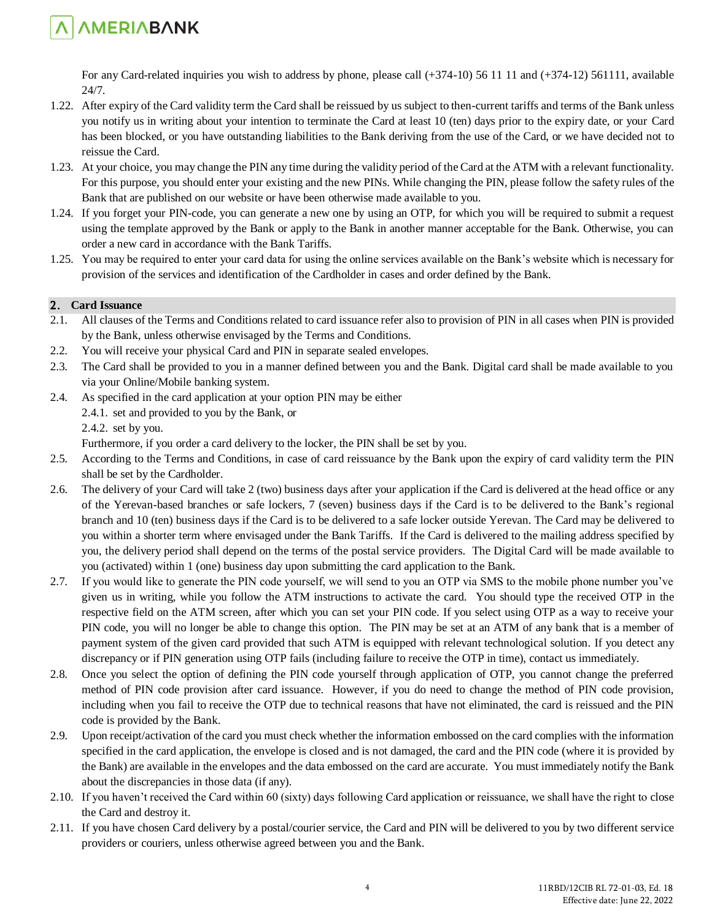For any Card-related inquiries you wish to address by phone, please call (+374-10) 56 11 11 and (+374-12) 561111, available 24/7.

- 1.22. After expiry of the Card validity term the Card shall be reissued by us subject to then-current tariffs and terms of the Bank unless you notify us in writing about your intention to terminate the Card at least 10 (ten) days prior to the expiry date, or your Card has been blocked, or you have outstanding liabilities to the Bank deriving from the use of the Card, or we have decided not to reissue the Card.
- 1.23. At your choice, you may change the PIN any time during the validity period of the Card at the ATM with a relevant functionality. For this purpose, you should enter your existing and the new PINs. While changing the PIN, please follow the safety rules of the Bank that are published on our website or have been otherwise made available to you.
- 1.24. If you forget your PIN-code, you can generate a new one by using an OTP, for which you will be required to submit a request using the template approved by the Bank or apply to the Bank in another manner acceptable for the Bank. Otherwise, you can order a new card in accordance with the Bank Tariffs.
- 1.25. You may be required to enter your card data for using the online services available on the Bank's website which is necessary for provision of the services and identification of the Cardholder in cases and order defined by the Bank.

### 2. **Card Issuance**

- 2.1. All clauses of the Terms and Conditions related to card issuance refer also to provision of PIN in all cases when PIN is provided by the Bank, unless otherwise envisaged by the Terms and Conditions.
- 2.2. You will receive your physical Card and PIN in separate sealed envelopes.
- 2.3. The Card shall be provided to you in a manner defined between you and the Bank. Digital card shall be made available to you via your Online/Mobile banking system.
- 2.4. As specified in the card application at your option PIN may be either

2.4.1. set and provided to you by the Bank, or

2.4.2. set by you.

Furthermore, if you order a card delivery to the locker, the PIN shall be set by you.

- 2.5. According to the Terms and Conditions, in case of card reissuance by the Bank upon the expiry of card validity term the PIN shall be set by the Cardholder.
- 2.6. The delivery of your Card will take 2 (two) business days after your application if the Card is delivered at the head office or any of the Yerevan-based branches or safe lockers, 7 (seven) business days if the Card is to be delivered to the Bank's regional branch and 10 (ten) business days if the Card is to be delivered to a safe locker outside Yerevan. The Card may be delivered to you within a shorter term where envisaged under the Bank Tariffs. If the Card is delivered to the mailing address specified by you, the delivery period shall depend on the terms of the postal service providers. The Digital Card will be made available to you (activated) within 1 (one) business day upon submitting the card application to the Bank.
- 2.7. If you would like to generate the PIN code yourself, we will send to you an OTP via SMS to the mobile phone number you've given us in writing, while you follow the ATM instructions to activate the card. You should type the received OTP in the respective field on the ATM screen, after which you can set your PIN code. If you select using OTP as a way to receive your PIN code, you will no longer be able to change this option. The PIN may be set at an ATM of any bank that is a member of payment system of the given card provided that such ATM is equipped with relevant technological solution. If you detect any discrepancy or if PIN generation using OTP fails (including failure to receive the OTP in time), contact us immediately.
- 2.8. Once you select the option of defining the PIN code yourself through application of OTP, you cannot change the preferred method of PIN code provision after card issuance. However, if you do need to change the method of PIN code provision, including when you fail to receive the OTP due to technical reasons that have not eliminated, the card is reissued and the PIN code is provided by the Bank.
- 2.9. Upon receipt/activation of the card you must check whether the information embossed on the card complies with the information specified in the card application, the envelope is closed and is not damaged, the card and the PIN code (where it is provided by the Bank) are available in the envelopes and the data embossed on the card are accurate. You must immediately notify the Bank about the discrepancies in those data (if any).
- 2.10. If you haven't received the Card within 60 (sixty) days following Card application or reissuance, we shall have the right to close the Card and destroy it.
- 2.11. If you have chosen Card delivery by a postal/courier service, the Card and PIN will be delivered to you by two different service providers or couriers, unless otherwise agreed between you and the Bank.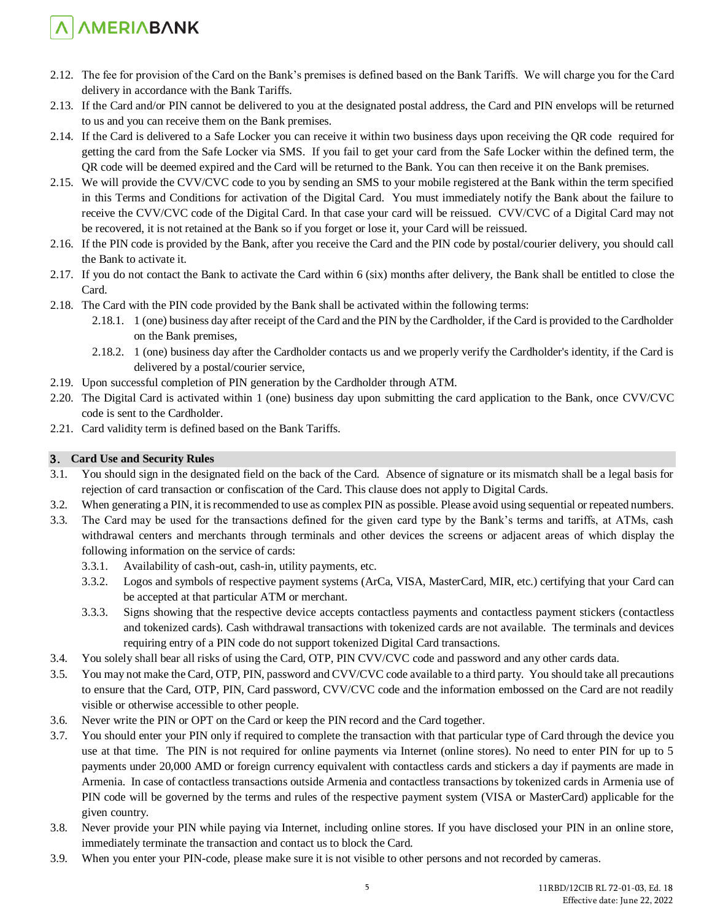- 2.12. The fee for provision of the Card on the Bank's premises is defined based on the Bank Tariffs. We will charge you for the Card delivery in accordance with the Bank Tariffs.
- 2.13. If the Card and/or PIN cannot be delivered to you at the designated postal address, the Card and PIN envelops will be returned to us and you can receive them on the Bank premises.
- 2.14. If the Card is delivered to a Safe Locker you can receive it within two business days upon receiving the QR code required for getting the card from the Safe Locker via SMS. If you fail to get your card from the Safe Locker within the defined term, the QR code will be deemed expired and the Card will be returned to the Bank. You can then receive it on the Bank premises.
- 2.15. We will provide the CVV/CVC code to you by sending an SMS to your mobile registered at the Bank within the term specified in this Terms and Conditions for activation of the Digital Card. You must immediately notify the Bank about the failure to receive the CVV/CVC code of the Digital Card. In that case your card will be reissued. CVV/CVC of a Digital Card may not be recovered, it is not retained at the Bank so if you forget or lose it, your Card will be reissued.
- 2.16. If the PIN code is provided by the Bank, after you receive the Card and the PIN code by postal/courier delivery, you should call the Bank to activate it.
- 2.17. If you do not contact the Bank to activate the Card within 6 (six) months after delivery, the Bank shall be entitled to close the Card.
- 2.18. The Card with the PIN code provided by the Bank shall be activated within the following terms:
	- 2.18.1. 1 (one) business day after receipt of the Card and the PIN by the Cardholder, if the Card is provided to the Cardholder on the Bank premises,
	- 2.18.2. 1 (one) business day after the Cardholder contacts us and we properly verify the Cardholder's identity, if the Card is delivered by a postal/courier service,
- 2.19. Upon successful completion of PIN generation by the Cardholder through ATM.
- 2.20. The Digital Card is activated within 1 (one) business day upon submitting the card application to the Bank, once CVV/CVC code is sent to the Cardholder.
- 2.21. Card validity term is defined based on the Bank Tariffs.

### 3. **Card Use and Security Rules**

- 3.1. You should sign in the designated field on the back of the Card. Absence of signature or its mismatch shall be a legal basis for rejection of card transaction or confiscation of the Card. This clause does not apply to Digital Cards.
- 3.2. When generating a PIN, it is recommended to use as complex PIN as possible. Please avoid using sequential or repeated numbers.
- 3.3. The Card may be used for the transactions defined for the given card type by the Bank's terms and tariffs, at ATMs, cash withdrawal centers and merchants through terminals and other devices the screens or adjacent areas of which display the following information on the service of cards:
	- 3.3.1. Availability of cash-out, cash-in, utility payments, etc.
	- 3.3.2. Logos and symbols of respective payment systems (ArCa, VISA, MasterCard, MIR, etc.) certifying that your Card can be accepted at that particular ATM or merchant.
	- 3.3.3. Signs showing that the respective device accepts contactless payments and contactless payment stickers (contactless and tokenized cards). Cash withdrawal transactions with tokenized cards are not available. The terminals and devices requiring entry of a PIN code do not support tokenized Digital Card transactions.
- 3.4. You solely shall bear all risks of using the Card, OTP, PIN CVV/CVC code and password and any other cards data.
- 3.5. You may not make the Card, OTP, PIN, password and CVV/CVC code available to a third party. You should take all precautions to ensure that the Card, OTP, PIN, Card password, CVV/CVC code and the information embossed on the Card are not readily visible or otherwise accessible to other people.
- 3.6. Never write the PIN or OPT on the Card or keep the PIN record and the Card together.
- 3.7. You should enter your PIN only if required to complete the transaction with that particular type of Card through the device you use at that time. The PIN is not required for online payments via Internet (online stores). No need to enter PIN for up to 5 payments under 20,000 AMD or foreign currency equivalent with contactless cards and stickers a day if payments are made in Armenia. In case of contactless transactions outside Armenia and contactless transactions by tokenized cards in Armenia use of PIN code will be governed by the terms and rules of the respective payment system (VISA or MasterCard) applicable for the given country.
- 3.8. Never provide your PIN while paying via Internet, including online stores. If you have disclosed your PIN in an online store, immediately terminate the transaction and contact us to block the Card.
- 3.9. When you enter your PIN-code, please make sure it is not visible to other persons and not recorded by cameras.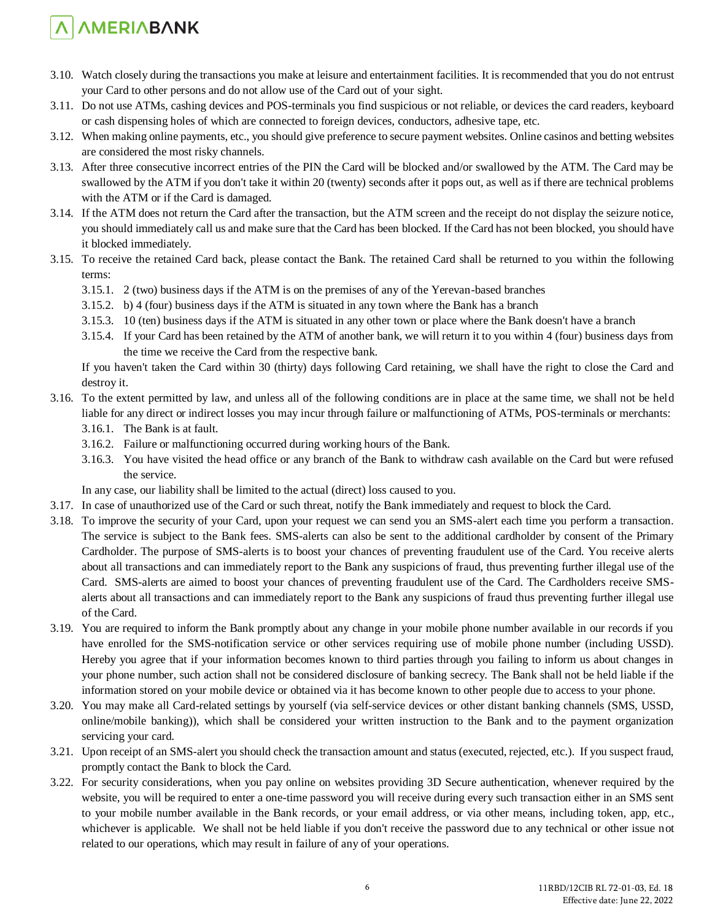- 3.10. Watch closely during the transactions you make at leisure and entertainment facilities. It is recommended that you do not entrust your Card to other persons and do not allow use of the Card out of your sight.
- 3.11. Do not use ATMs, cashing devices and POS-terminals you find suspicious or not reliable, or devices the card readers, keyboard or cash dispensing holes of which are connected to foreign devices, conductors, adhesive tape, etc.
- 3.12. When making online payments, etc., you should give preference to secure payment websites. Online casinos and betting websites are considered the most risky channels.
- 3.13. After three consecutive incorrect entries of the PIN the Card will be blocked and/or swallowed by the ATM. The Card may be swallowed by the ATM if you don't take it within 20 (twenty) seconds after it pops out, as well as if there are technical problems with the ATM or if the Card is damaged.
- 3.14. If the ATM does not return the Card after the transaction, but the ATM screen and the receipt do not display the seizure notice, you should immediately call us and make sure that the Card has been blocked. If the Card has not been blocked, you should have it blocked immediately.
- 3.15. To receive the retained Card back, please contact the Bank. The retained Card shall be returned to you within the following terms:
	- 3.15.1. 2 (two) business days if the ATM is on the premises of any of the Yerevan-based branches
	- 3.15.2. b) 4 (four) business days if the ATM is situated in any town where the Bank has a branch
	- 3.15.3. 10 (ten) business days if the ATM is situated in any other town or place where the Bank doesn't have a branch
	- 3.15.4. If your Card has been retained by the ATM of another bank, we will return it to you within 4 (four) business days from the time we receive the Card from the respective bank.

If you haven't taken the Card within 30 (thirty) days following Card retaining, we shall have the right to close the Card and destroy it.

- 3.16. To the extent permitted by law, and unless all of the following conditions are in place at the same time, we shall not be held liable for any direct or indirect losses you may incur through failure or malfunctioning of ATMs, POS-terminals or merchants:
	- 3.16.1. The Bank is at fault.
	- 3.16.2. Failure or malfunctioning occurred during working hours of the Bank.
	- 3.16.3. You have visited the head office or any branch of the Bank to withdraw cash available on the Card but were refused the service.

In any case, our liability shall be limited to the actual (direct) loss caused to you.

- 3.17. In case of unauthorized use of the Card or such threat, notify the Bank immediately and request to block the Card.
- 3.18. To improve the security of your Card, upon your request we can send you an SMS-alert each time you perform a transaction. The service is subject to the Bank fees. SMS-alerts can also be sent to the additional cardholder by consent of the Primary Cardholder. The purpose of SMS-alerts is to boost your chances of preventing fraudulent use of the Card. You receive alerts about all transactions and can immediately report to the Bank any suspicions of fraud, thus preventing further illegal use of the Card. SMS-alerts are aimed to boost your chances of preventing fraudulent use of the Card. The Cardholders receive SMSalerts about all transactions and can immediately report to the Bank any suspicions of fraud thus preventing further illegal use of the Card.
- 3.19. You are required to inform the Bank promptly about any change in your mobile phone number available in our records if you have enrolled for the SMS-notification service or other services requiring use of mobile phone number (including USSD). Hereby you agree that if your information becomes known to third parties through you failing to inform us about changes in your phone number, such action shall not be considered disclosure of banking secrecy. The Bank shall not be held liable if the information stored on your mobile device or obtained via it has become known to other people due to access to your phone.
- 3.20. You may make all Card-related settings by yourself (via self-service devices or other distant banking channels (SMS, USSD, online/mobile banking)), which shall be considered your written instruction to the Bank and to the payment organization servicing your card.
- 3.21. Upon receipt of an SMS-alert you should check the transaction amount and status (executed, rejected, etc.). If you suspect fraud, promptly contact the Bank to block the Card.
- 3.22. For security considerations, when you pay online on websites providing 3D Secure authentication, whenever required by the website, you will be required to enter a one-time password you will receive during every such transaction either in an SMS sent to your mobile number available in the Bank records, or your email address, or via other means, including token, app, etc., whichever is applicable. We shall not be held liable if you don't receive the password due to any technical or other issue not related to our operations, which may result in failure of any of your operations.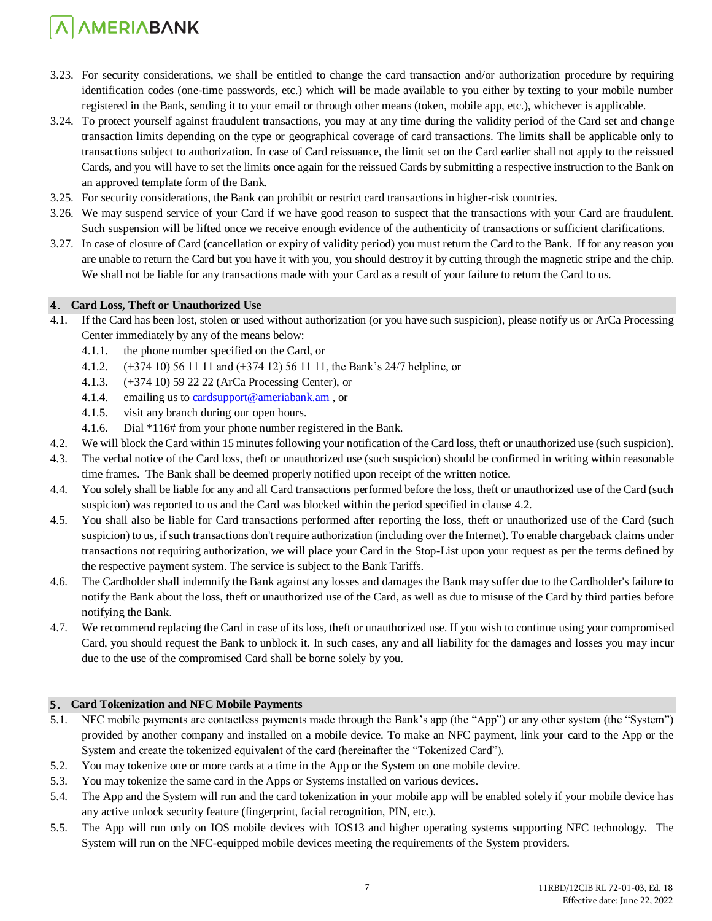- 3.23. For security considerations, we shall be entitled to change the card transaction and/or authorization procedure by requiring identification codes (one-time passwords, etc.) which will be made available to you either by texting to your mobile number registered in the Bank, sending it to your email or through other means (token, mobile app, etc.), whichever is applicable.
- 3.24. To protect yourself against fraudulent transactions, you may at any time during the validity period of the Card set and change transaction limits depending on the type or geographical coverage of card transactions. The limits shall be applicable only to transactions subject to authorization. In case of Card reissuance, the limit set on the Card earlier shall not apply to the reissued Cards, and you will have to set the limits once again for the reissued Cards by submitting a respective instruction to the Bank on an approved template form of the Bank.
- 3.25. For security considerations, the Bank can prohibit or restrict card transactions in higher-risk countries.
- 3.26. We may suspend service of your Card if we have good reason to suspect that the transactions with your Card are fraudulent. Such suspension will be lifted once we receive enough evidence of the authenticity of transactions or sufficient clarifications.
- 3.27. In case of closure of Card (cancellation or expiry of validity period) you must return the Card to the Bank. If for any reason you are unable to return the Card but you have it with you, you should destroy it by cutting through the magnetic stripe and the chip. We shall not be liable for any transactions made with your Card as a result of your failure to return the Card to us.

### 4. **Card Loss, Theft or Unauthorized Use**

- 4.1. If the Card has been lost, stolen or used without authorization (or you have such suspicion), please notify us or ArCa Processing Center immediately by any of the means below:
	- 4.1.1. the phone number specified on the Card, or
	- 4.1.2. (+374 10) 56 11 11 and (+374 12) 56 11 11, the Bank's 24/7 helpline, or
	- 4.1.3. (+374 10) 59 22 22 (ArCa Processing Center), or
	- 4.1.4. emailing us t[o cardsupport@ameriabank.am](mailto:cardsupport@ameriabank.am), or
	- 4.1.5. visit any branch during our open hours.
	- 4.1.6. Dial \*116# from your phone number registered in the Bank.
- <span id="page-6-0"></span>4.2. We will block the Card within 15 minutes following your notification of the Card loss, theft or unauthorized use (such suspicion).
- 4.3. The verbal notice of the Card loss, theft or unauthorized use (such suspicion) should be confirmed in writing within reasonable time frames. The Bank shall be deemed properly notified upon receipt of the written notice.
- 4.4. You solely shall be liable for any and all Card transactions performed before the loss, theft or unauthorized use of the Card (such suspicion) was reported to us and the Card was blocked within the period specified in clause [4.2.](#page-6-0)
- 4.5. You shall also be liable for Card transactions performed after reporting the loss, theft or unauthorized use of the Card (such suspicion) to us, if such transactions don't require authorization (including over the Internet). To enable chargeback claims under transactions not requiring authorization, we will place your Card in the Stop-List upon your request as per the terms defined by the respective payment system. The service is subject to the Bank Tariffs.
- 4.6. The Cardholder shall indemnify the Bank against any losses and damages the Bank may suffer due to the Cardholder's failure to notify the Bank about the loss, theft or unauthorized use of the Card, as well as due to misuse of the Card by third parties before notifying the Bank.
- 4.7. We recommend replacing the Card in case of its loss, theft or unauthorized use. If you wish to continue using your compromised Card, you should request the Bank to unblock it. In such cases, any and all liability for the damages and losses you may incur due to the use of the compromised Card shall be borne solely by you.

#### 5. **Card Tokenization and NFC Mobile Payments**

- 5.1. NFC mobile payments are contactless payments made through the Bank's app (the "App") or any other system (the "System") provided by another company and installed on a mobile device. To make an NFC payment, link your card to the App or the System and create the tokenized equivalent of the card (hereinafter the "Tokenized Card").
- 5.2. You may tokenize one or more cards at a time in the App or the System on one mobile device.
- 5.3. You may tokenize the same card in the Apps or Systems installed on various devices.
- 5.4. The App and the System will run and the card tokenization in your mobile app will be enabled solely if your mobile device has any active unlock security feature (fingerprint, facial recognition, PIN, etc.).
- 5.5. The App will run only on IOS mobile devices with IOS13 and higher operating systems supporting NFC technology. The System will run on the NFC-equipped mobile devices meeting the requirements of the System providers.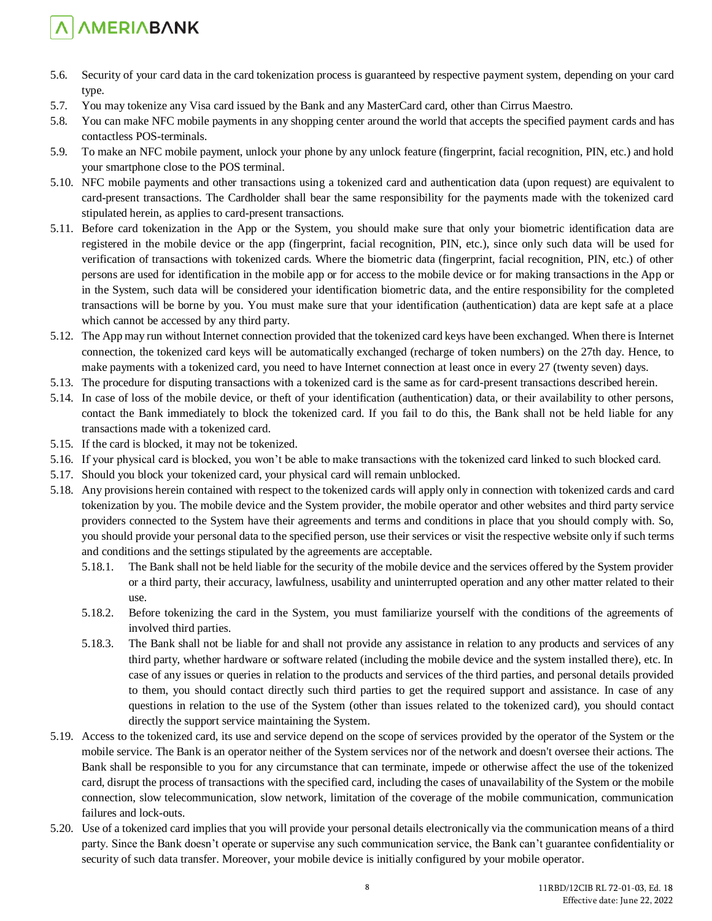- 5.6. Security of your card data in the card tokenization process is guaranteed by respective payment system, depending on your card type.
- 5.7. You may tokenize any Visa card issued by the Bank and any MasterCard card, other than Cirrus Maestro.
- 5.8. You can make NFC mobile payments in any shopping center around the world that accepts the specified payment cards and has contactless POS-terminals.
- 5.9. To make an NFC mobile payment, unlock your phone by any unlock feature (fingerprint, facial recognition, PIN, etc.) and hold your smartphone close to the POS terminal.
- 5.10. NFC mobile payments and other transactions using a tokenized card and authentication data (upon request) are equivalent to card-present transactions. The Cardholder shall bear the same responsibility for the payments made with the tokenized card stipulated herein, as applies to card-present transactions.
- 5.11. Before card tokenization in the App or the System, you should make sure that only your biometric identification data are registered in the mobile device or the app (fingerprint, facial recognition, PIN, etc.), since only such data will be used for verification of transactions with tokenized cards. Where the biometric data (fingerprint, facial recognition, PIN, etc.) of other persons are used for identification in the mobile app or for access to the mobile device or for making transactions in the App or in the System, such data will be considered your identification biometric data, and the entire responsibility for the completed transactions will be borne by you. You must make sure that your identification (authentication) data are kept safe at a place which cannot be accessed by any third party.
- 5.12. The App may run without Internet connection provided that the tokenized card keys have been exchanged. When there is Internet connection, the tokenized card keys will be automatically exchanged (recharge of token numbers) on the 27th day. Hence, to make payments with a tokenized card, you need to have Internet connection at least once in every 27 (twenty seven) days.
- 5.13. The procedure for disputing transactions with a tokenized card is the same as for card-present transactions described herein.
- 5.14. In case of loss of the mobile device, or theft of your identification (authentication) data, or their availability to other persons, contact the Bank immediately to block the tokenized card. If you fail to do this, the Bank shall not be held liable for any transactions made with a tokenized card.
- 5.15. If the card is blocked, it may not be tokenized.
- 5.16. If your physical card is blocked, you won't be able to make transactions with the tokenized card linked to such blocked card.
- 5.17. Should you block your tokenized card, your physical card will remain unblocked.
- 5.18. Any provisions herein contained with respect to the tokenized cards will apply only in connection with tokenized cards and card tokenization by you. The mobile device and the System provider, the mobile operator and other websites and third party service providers connected to the System have their agreements and terms and conditions in place that you should comply with. So, you should provide your personal data to the specified person, use their services or visit the respective website only if such terms and conditions and the settings stipulated by the agreements are acceptable.
	- 5.18.1. The Bank shall not be held liable for the security of the mobile device and the services offered by the System provider or a third party, their accuracy, lawfulness, usability and uninterrupted operation and any other matter related to their use.
	- 5.18.2. Before tokenizing the card in the System, you must familiarize yourself with the conditions of the agreements of involved third parties.
	- 5.18.3. The Bank shall not be liable for and shall not provide any assistance in relation to any products and services of any third party, whether hardware or software related (including the mobile device and the system installed there), etc. In case of any issues or queries in relation to the products and services of the third parties, and personal details provided to them, you should contact directly such third parties to get the required support and assistance. In case of any questions in relation to the use of the System (other than issues related to the tokenized card), you should contact directly the support service maintaining the System.
- 5.19. Access to the tokenized card, its use and service depend on the scope of services provided by the operator of the System or the mobile service. The Bank is an operator neither of the System services nor of the network and doesn't oversee their actions. The Bank shall be responsible to you for any circumstance that can terminate, impede or otherwise affect the use of the tokenized card, disrupt the process of transactions with the specified card, including the cases of unavailability of the System or the mobile connection, slow telecommunication, slow network, limitation of the coverage of the mobile communication, communication failures and lock-outs.
- 5.20. Use of a tokenized card implies that you will provide your personal details electronically via the communication means of a third party. Since the Bank doesn't operate or supervise any such communication service, the Bank can't guarantee confidentiality or security of such data transfer. Moreover, your mobile device is initially configured by your mobile operator.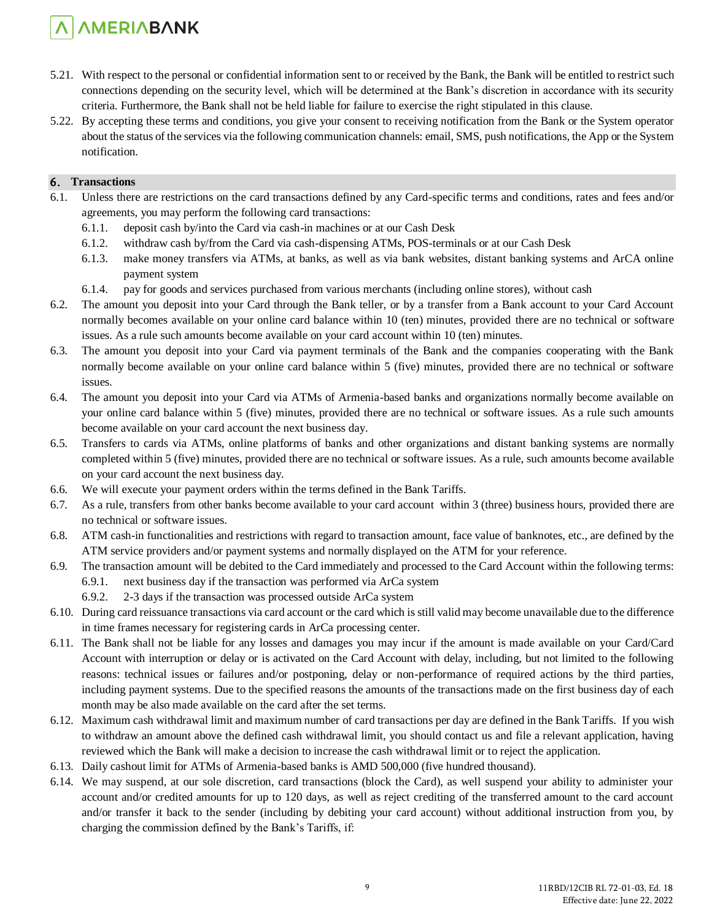- 5.21. With respect to the personal or confidential information sent to or received by the Bank, the Bank will be entitled to restrict such connections depending on the security level, which will be determined at the Bank's discretion in accordance with its security criteria. Furthermore, the Bank shall not be held liable for failure to exercise the right stipulated in this clause.
- 5.22. By accepting these terms and conditions, you give your consent to receiving notification from the Bank or the System operator about the status of the services via the following communication channels: email, SMS, push notifications, the App or the System notification.

### 6. **Transactions**

- 6.1. Unless there are restrictions on the card transactions defined by any Card-specific terms and conditions, rates and fees and/or agreements, you may perform the following card transactions:
	- 6.1.1. deposit cash by/into the Card via cash-in machines or at our Cash Desk
	- 6.1.2. withdraw cash by/from the Card via cash-dispensing ATMs, POS-terminals or at our Cash Desk
	- 6.1.3. make money transfers via ATMs, at banks, as well as via bank websites, distant banking systems and ArCA online payment system
	- 6.1.4. pay for goods and services purchased from various merchants (including online stores), without cash
- 6.2. The amount you deposit into your Card through the Bank teller, or by a transfer from a Bank account to your Card Account normally becomes available on your online card balance within 10 (ten) minutes, provided there are no technical or software issues. As a rule such amounts become available on your card account within 10 (ten) minutes.
- 6.3. The amount you deposit into your Card via payment terminals of the Bank and the companies cooperating with the Bank normally become available on your online card balance within 5 (five) minutes, provided there are no technical or software issues.
- 6.4. The amount you deposit into your Card via ATMs of Armenia-based banks and organizations normally become available on your online card balance within 5 (five) minutes, provided there are no technical or software issues. As a rule such amounts become available on your card account the next business day.
- 6.5. Transfers to cards via ATMs, online platforms of banks and other organizations and distant banking systems are normally completed within 5 (five) minutes, provided there are no technical or software issues. As a rule, such amounts become available on your card account the next business day.
- 6.6. We will execute your payment orders within the terms defined in the Bank Tariffs.
- 6.7. As a rule, transfers from other banks become available to your card account within 3 (three) business hours, provided there are no technical or software issues.
- 6.8. ATM cash-in functionalities and restrictions with regard to transaction amount, face value of banknotes, etc., are defined by the ATM service providers and/or payment systems and normally displayed on the ATM for your reference.
- 6.9. The transaction amount will be debited to the Card immediately and processed to the Card Account within the following terms:
	- 6.9.1. next business day if the transaction was performed via ArCa system
	- 6.9.2. 2-3 days if the transaction was processed outside ArCa system
- 6.10. During card reissuance transactions via card account or the card which is still valid may become unavailable due to the difference in time frames necessary for registering cards in ArCa processing center.
- 6.11. The Bank shall not be liable for any losses and damages you may incur if the amount is made available on your Card/Card Account with interruption or delay or is activated on the Card Account with delay, including, but not limited to the following reasons: technical issues or failures and/or postponing, delay or non-performance of required actions by the third parties, including payment systems. Due to the specified reasons the amounts of the transactions made on the first business day of each month may be also made available on the card after the set terms.
- 6.12. Maximum cash withdrawal limit and maximum number of card transactions per day are defined in the Bank Tariffs. If you wish to withdraw an amount above the defined cash withdrawal limit, you should contact us and file a relevant application, having reviewed which the Bank will make a decision to increase the cash withdrawal limit or to reject the application.
- 6.13. Daily cashout limit for ATMs of Armenia-based banks is AMD 500,000 (five hundred thousand).
- 6.14. We may suspend, at our sole discretion, card transactions (block the Card), as well suspend your ability to administer your account and/or credited amounts for up to 120 days, as well as reject crediting of the transferred amount to the card account and/or transfer it back to the sender (including by debiting your card account) without additional instruction from you, by charging the commission defined by the Bank's Tariffs, if: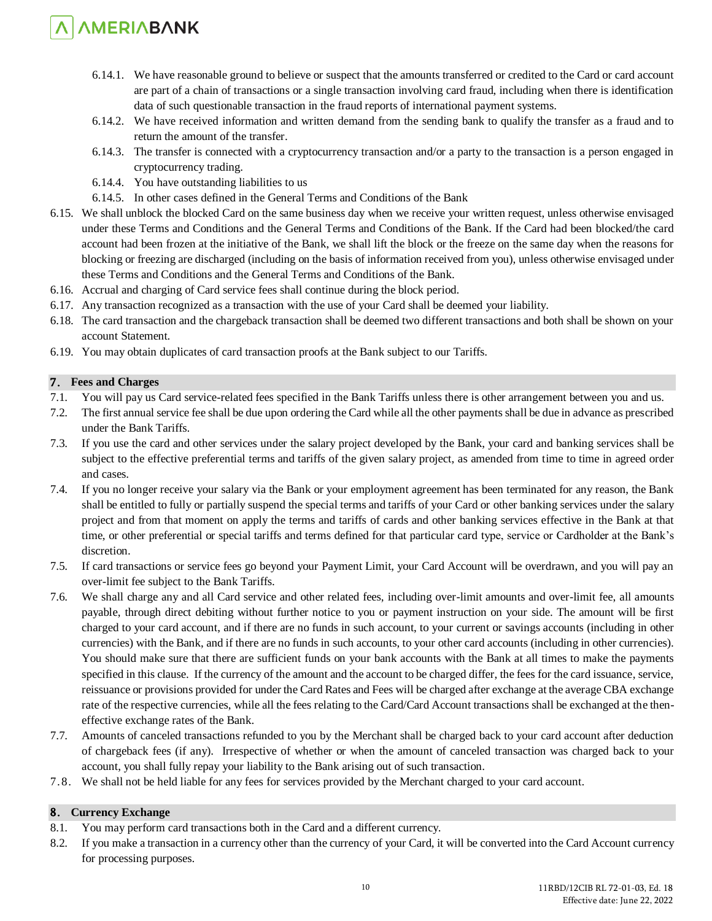- 6.14.1. We have reasonable ground to believe or suspect that the amounts transferred or credited to the Card or card account are part of a chain of transactions or a single transaction involving card fraud, including when there is identification data of such questionable transaction in the fraud reports of international payment systems.
- 6.14.2. We have received information and written demand from the sending bank to qualify the transfer as a fraud and to return the amount of the transfer.
- 6.14.3. The transfer is connected with a cryptocurrency transaction and/or a party to the transaction is a person engaged in cryptocurrency trading.
- 6.14.4. You have outstanding liabilities to us
- 6.14.5. In other cases defined in the General Terms and Conditions of the Bank
- 6.15. We shall unblock the blocked Card on the same business day when we receive your written request, unless otherwise envisaged under these Terms and Conditions and the General Terms and Conditions of the Bank. If the Card had been blocked/the card account had been frozen at the initiative of the Bank, we shall lift the block or the freeze on the same day when the reasons for blocking or freezing are discharged (including on the basis of information received from you), unless otherwise envisaged under these Terms and Conditions and the General Terms and Conditions of the Bank.
- 6.16. Accrual and charging of Card service fees shall continue during the block period.
- 6.17. Any transaction recognized as a transaction with the use of your Card shall be deemed your liability.
- 6.18. The card transaction and the chargeback transaction shall be deemed two different transactions and both shall be shown on your account Statement.
- 6.19. You may obtain duplicates of card transaction proofs at the Bank subject to our Tariffs.

### 7. **Fees and Charges**

- 7.1. You will pay us Card service-related fees specified in the Bank Tariffs unless there is other arrangement between you and us.
- 7.2. The first annual service fee shall be due upon ordering the Card while all the other payments shall be due in advance as prescribed under the Bank Tariffs.
- 7.3. If you use the card and other services under the salary project developed by the Bank, your card and banking services shall be subject to the effective preferential terms and tariffs of the given salary project, as amended from time to time in agreed order and cases.
- 7.4. If you no longer receive your salary via the Bank or your employment agreement has been terminated for any reason, the Bank shall be entitled to fully or partially suspend the special terms and tariffs of your Card or other banking services under the salary project and from that moment on apply the terms and tariffs of cards and other banking services effective in the Bank at that time, or other preferential or special tariffs and terms defined for that particular card type, service or Cardholder at the Bank's discretion.
- 7.5. If card transactions or service fees go beyond your Payment Limit, your Card Account will be overdrawn, and you will pay an over-limit fee subject to the Bank Tariffs.
- 7.6. We shall charge any and all Card service and other related fees, including over-limit amounts and over-limit fee, all amounts payable, through direct debiting without further notice to you or payment instruction on your side. The amount will be first charged to your card account, and if there are no funds in such account, to your current or savings accounts (including in other currencies) with the Bank, and if there are no funds in such accounts, to your other card accounts (including in other currencies). You should make sure that there are sufficient funds on your bank accounts with the Bank at all times to make the payments specified in this clause. If the currency of the amount and the account to be charged differ, the fees for the card issuance, service, reissuance or provisions provided for under the Card Rates and Fees will be charged after exchange at the average CBA exchange rate of the respective currencies, while all the fees relating to the Card/Card Account transactions shall be exchanged at the theneffective exchange rates of the Bank.
- 7.7. Amounts of canceled transactions refunded to you by the Merchant shall be charged back to your card account after deduction of chargeback fees (if any). Irrespective of whether or when the amount of canceled transaction was charged back to your account, you shall fully repay your liability to the Bank arising out of such transaction.
- 7.8. We shall not be held liable for any fees for services provided by the Merchant charged to your card account.

#### 8. **Currency Exchange**

- 8.1. You may perform card transactions both in the Card and a different currency.
- 8.2. If you make a transaction in a currency other than the currency of your Card, it will be converted into the Card Account currency for processing purposes.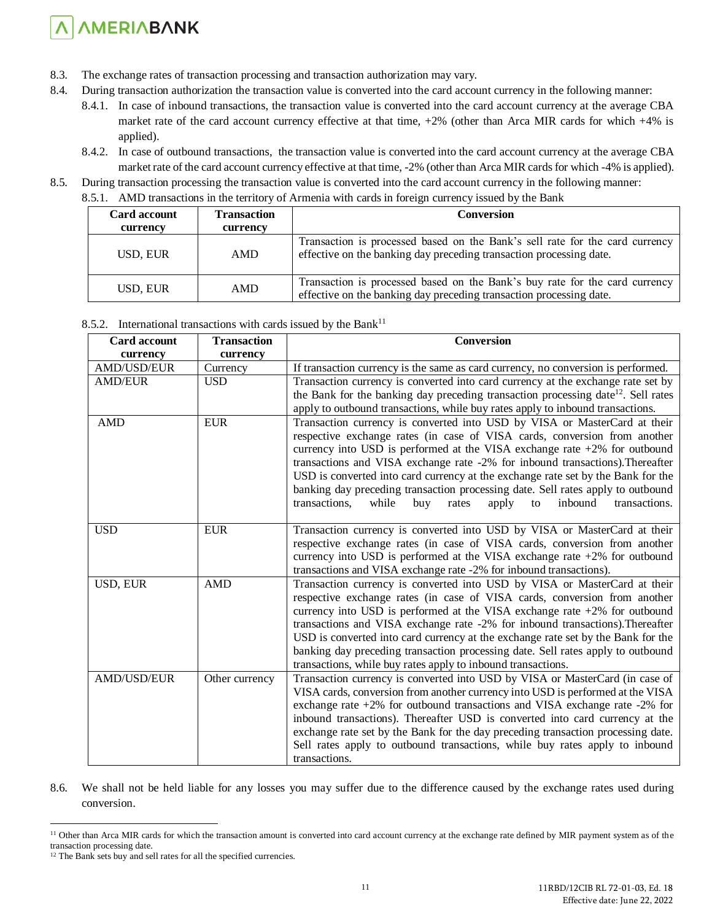- 8.3. The exchange rates of transaction processing and transaction authorization may vary.
- 8.4. During transaction authorization the transaction value is converted into the card account currency in the following manner:
	- 8.4.1. In case of inbound transactions, the transaction value is converted into the card account currency at the average CBA market rate of the card account currency effective at that time, +2% (other than Arca MIR cards for which +4% is applied).
	- 8.4.2. In case of outbound transactions, the transaction value is converted into the card account currency at the average CBA market rate of the card account currency effective at that time, -2% (other than Arca MIR cards for which -4% is applied).
- 8.5. During transaction processing the transaction value is converted into the card account currency in the following manner:
	- 8.5.1. AMD transactions in the territory of Armenia with cards in foreign currency issued by the Bank

| <b>Card account</b> | <b>Transaction</b> | <b>Conversion</b>                                                                                                                                   |  |
|---------------------|--------------------|-----------------------------------------------------------------------------------------------------------------------------------------------------|--|
| currency            | currency           |                                                                                                                                                     |  |
| USD, EUR            | <b>AMD</b>         | Transaction is processed based on the Bank's sell rate for the card currency<br>effective on the banking day preceding transaction processing date. |  |
| USD, EUR            | <b>AMD</b>         | Transaction is processed based on the Bank's buy rate for the card currency<br>effective on the banking day preceding transaction processing date.  |  |

| 8.5.2. International transactions with cards issued by the Bank <sup>11</sup> |  |  |  |
|-------------------------------------------------------------------------------|--|--|--|
|                                                                               |  |  |  |

| Card account<br>currency | <b>Transaction</b><br>currency | <b>Conversion</b>                                                                                                                                                                                                                                                                                                                                                                                                                                                                                                                                                                   |
|--------------------------|--------------------------------|-------------------------------------------------------------------------------------------------------------------------------------------------------------------------------------------------------------------------------------------------------------------------------------------------------------------------------------------------------------------------------------------------------------------------------------------------------------------------------------------------------------------------------------------------------------------------------------|
| <b>AMD/USD/EUR</b>       | Currency                       | If transaction currency is the same as card currency, no conversion is performed.                                                                                                                                                                                                                                                                                                                                                                                                                                                                                                   |
| <b>AMD/EUR</b>           | <b>USD</b>                     | Transaction currency is converted into card currency at the exchange rate set by<br>the Bank for the banking day preceding transaction processing date <sup>12</sup> . Sell rates<br>apply to outbound transactions, while buy rates apply to inbound transactions.                                                                                                                                                                                                                                                                                                                 |
| <b>AMD</b>               | <b>EUR</b>                     | Transaction currency is converted into USD by VISA or MasterCard at their<br>respective exchange rates (in case of VISA cards, conversion from another<br>currency into USD is performed at the VISA exchange rate $+2\%$ for outbound<br>transactions and VISA exchange rate -2% for inbound transactions). Thereafter<br>USD is converted into card currency at the exchange rate set by the Bank for the<br>banking day preceding transaction processing date. Sell rates apply to outbound<br>transactions,<br>while<br>inbound<br>buy<br>rates<br>apply<br>transactions.<br>to |
| <b>USD</b>               | <b>EUR</b>                     | Transaction currency is converted into USD by VISA or MasterCard at their<br>respective exchange rates (in case of VISA cards, conversion from another<br>currency into USD is performed at the VISA exchange rate $+2\%$ for outbound<br>transactions and VISA exchange rate -2% for inbound transactions).                                                                                                                                                                                                                                                                        |
| USD, EUR                 | <b>AMD</b>                     | Transaction currency is converted into USD by VISA or MasterCard at their<br>respective exchange rates (in case of VISA cards, conversion from another<br>currency into USD is performed at the VISA exchange rate $+2\%$ for outbound<br>transactions and VISA exchange rate -2% for inbound transactions). Thereafter<br>USD is converted into card currency at the exchange rate set by the Bank for the<br>banking day preceding transaction processing date. Sell rates apply to outbound<br>transactions, while buy rates apply to inbound transactions.                      |
| <b>AMD/USD/EUR</b>       | Other currency                 | Transaction currency is converted into USD by VISA or MasterCard (in case of<br>VISA cards, conversion from another currency into USD is performed at the VISA<br>exchange rate +2% for outbound transactions and VISA exchange rate -2% for<br>inbound transactions). Thereafter USD is converted into card currency at the<br>exchange rate set by the Bank for the day preceding transaction processing date.<br>Sell rates apply to outbound transactions, while buy rates apply to inbound<br>transactions.                                                                    |

8.6. We shall not be held liable for any losses you may suffer due to the difference caused by the exchange rates used during conversion.

 $\overline{\phantom{a}}$ 

<sup>&</sup>lt;sup>11</sup> Other than Arca MIR cards for which the transaction amount is converted into card account currency at the exchange rate defined by MIR payment system as of the transaction processing date.

<sup>&</sup>lt;sup>12</sup> The Bank sets buy and sell rates for all the specified currencies.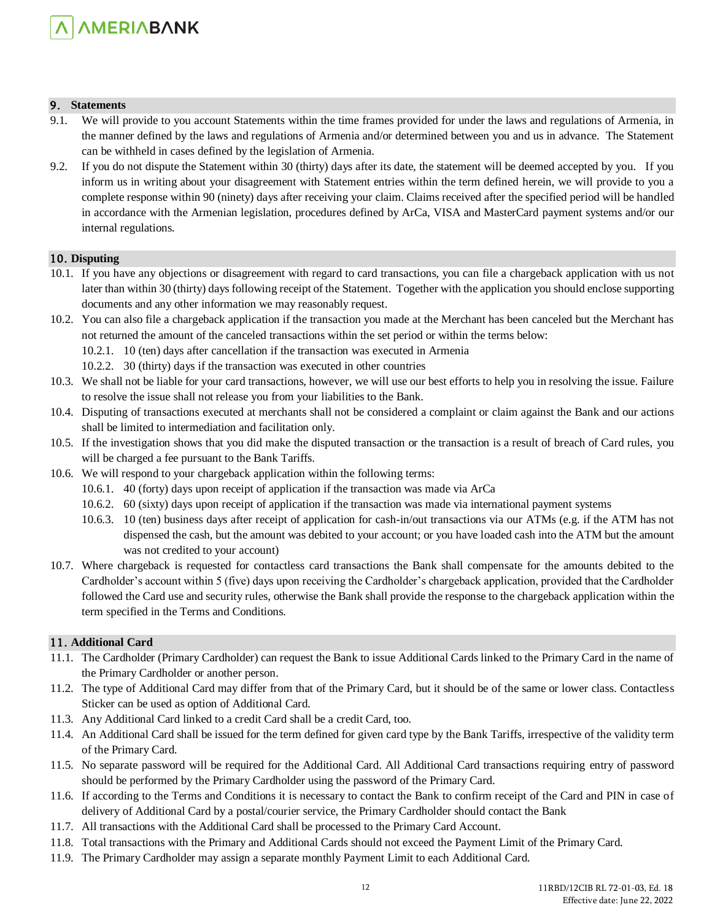#### 9. **Statements**

- 9.1. We will provide to you account Statements within the time frames provided for under the laws and regulations of Armenia, in the manner defined by the laws and regulations of Armenia and/or determined between you and us in advance. The Statement can be withheld in cases defined by the legislation of Armenia.
- 9.2. If you do not dispute the Statement within 30 (thirty) days after its date, the statement will be deemed accepted by you. If you inform us in writing about your disagreement with Statement entries within the term defined herein, we will provide to you a complete response within 90 (ninety) days after receiving your claim. Claims received after the specified period will be handled in accordance with the Armenian legislation, procedures defined by ArCa, VISA and MasterCard payment systems and/or our internal regulations.

#### 10. **Disputing**

- 10.1. If you have any objections or disagreement with regard to card transactions, you can file a chargeback application with us not later than within 30 (thirty) days following receipt of the Statement. Together with the application you should enclose supporting documents and any other information we may reasonably request.
- 10.2. You can also file a chargeback application if the transaction you made at the Merchant has been canceled but the Merchant has not returned the amount of the canceled transactions within the set period or within the terms below:
	- 10.2.1. 10 (ten) days after cancellation if the transaction was executed in Armenia
	- 10.2.2. 30 (thirty) days if the transaction was executed in other countries
- 10.3. We shall not be liable for your card transactions, however, we will use our best efforts to help you in resolving the issue. Failure to resolve the issue shall not release you from your liabilities to the Bank.
- 10.4. Disputing of transactions executed at merchants shall not be considered a complaint or claim against the Bank and our actions shall be limited to intermediation and facilitation only.
- 10.5. If the investigation shows that you did make the disputed transaction or the transaction is a result of breach of Card rules, you will be charged a fee pursuant to the Bank Tariffs.
- 10.6. We will respond to your chargeback application within the following terms:
	- 10.6.1. 40 (forty) days upon receipt of application if the transaction was made via ArCa
	- 10.6.2. 60 (sixty) days upon receipt of application if the transaction was made via international payment systems
	- 10.6.3. 10 (ten) business days after receipt of application for cash-in/out transactions via our ATMs (e.g. if the ATM has not dispensed the cash, but the amount was debited to your account; or you have loaded cash into the ATM but the amount was not credited to your account)
- 10.7. Where chargeback is requested for contactless card transactions the Bank shall compensate for the amounts debited to the Cardholder's account within 5 (five) days upon receiving the Cardholder's chargeback application, provided that the Cardholder followed the Card use and security rules, otherwise the Bank shall provide the response to the chargeback application within the term specified in the Terms and Conditions.

### 11. **Additional Card**

- 11.1. The Cardholder (Primary Cardholder) can request the Bank to issue Additional Cards linked to the Primary Card in the name of the Primary Cardholder or another person.
- 11.2. The type of Additional Card may differ from that of the Primary Card, but it should be of the same or lower class. Contactless Sticker can be used as option of Additional Card.
- 11.3. Any Additional Card linked to a credit Card shall be a credit Card, too.
- 11.4. An Additional Card shall be issued for the term defined for given card type by the Bank Tariffs, irrespective of the validity term of the Primary Card.
- 11.5. No separate password will be required for the Additional Card. All Additional Card transactions requiring entry of password should be performed by the Primary Cardholder using the password of the Primary Card.
- 11.6. If according to the Terms and Conditions it is necessary to contact the Bank to confirm receipt of the Card and PIN in case of delivery of Additional Card by a postal/courier service, the Primary Cardholder should contact the Bank
- 11.7. All transactions with the Additional Card shall be processed to the Primary Card Account.
- 11.8. Total transactions with the Primary and Additional Cards should not exceed the Payment Limit of the Primary Card.
- 11.9. The Primary Cardholder may assign a separate monthly Payment Limit to each Additional Card.